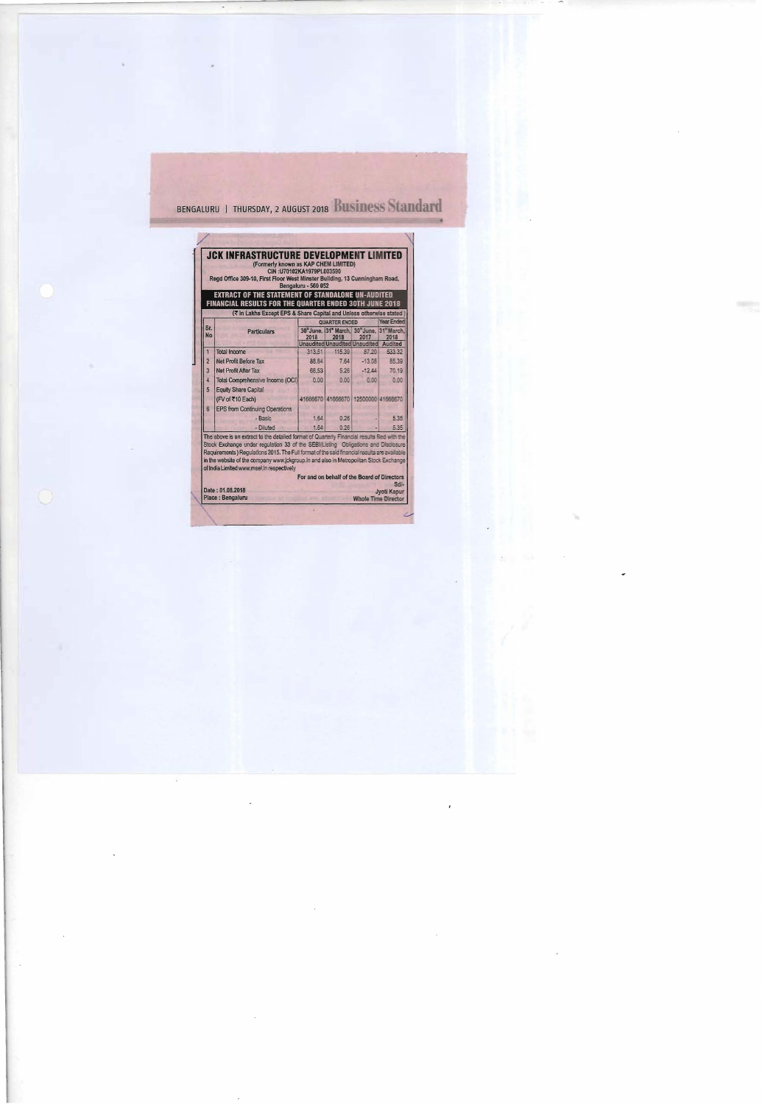## BENGALURU | THURSDAY, 2 AUGUST 2018 BUSINESS Standard

|                  | FINANCIAL RESULTS FOR THE QUARTER ENDED 30TH JUNE 2018                                                                                                                                                                                                                                                                                                                                                                  |                                                                                   | EXTRACT OF THE STATEMENT OF STANDALONE UN-AUDITED |          |                    |  |
|------------------|-------------------------------------------------------------------------------------------------------------------------------------------------------------------------------------------------------------------------------------------------------------------------------------------------------------------------------------------------------------------------------------------------------------------------|-----------------------------------------------------------------------------------|---------------------------------------------------|----------|--------------------|--|
|                  | (₹ in Lakhs Except EPS & Share Capital and Unless otherwise stated)                                                                                                                                                                                                                                                                                                                                                     |                                                                                   |                                                   |          |                    |  |
| Sr.<br><b>No</b> | <b>Particulars</b>                                                                                                                                                                                                                                                                                                                                                                                                      | QUARTER ENDED<br>30°June, 131° March, 30°June, 31° March,<br>2018<br>2018<br>2017 |                                                   |          | Year Ended<br>2018 |  |
| 1                | Total Income                                                                                                                                                                                                                                                                                                                                                                                                            | 313.51                                                                            | <b>Unaudited Unaudited Unaudited</b><br>115.39    | 87.20    | Audited<br>533.32  |  |
| $\overline{2}$   | Net Profit Before Tax                                                                                                                                                                                                                                                                                                                                                                                                   | 88.84                                                                             | 7.64                                              | 13.08    | 85.39              |  |
| 3                | Net Profit After Tax                                                                                                                                                                                                                                                                                                                                                                                                    | 68.53                                                                             | 5.26                                              | $-12.44$ | 70.19              |  |
| $\overline{4}$   | Total Comprehensive Income (OCI)                                                                                                                                                                                                                                                                                                                                                                                        | 0.00                                                                              | 0.00                                              | 0.00     | 0.00               |  |
| 5                | <b>Equity Share Capital</b>                                                                                                                                                                                                                                                                                                                                                                                             |                                                                                   |                                                   |          |                    |  |
|                  | (FV of ₹10 Each)                                                                                                                                                                                                                                                                                                                                                                                                        |                                                                                   | 41666670 41666670 12500000 41666670               |          |                    |  |
| $6\overline{6}$  | <b>EPS from Continuing Operations</b>                                                                                                                                                                                                                                                                                                                                                                                   |                                                                                   |                                                   |          |                    |  |
|                  | - Basic                                                                                                                                                                                                                                                                                                                                                                                                                 | 1.64                                                                              | 0.26                                              |          | 5.35               |  |
|                  | - Diluted                                                                                                                                                                                                                                                                                                                                                                                                               | 1.64                                                                              | 0.26                                              |          | 5.35               |  |
|                  | The above is an extract to the detailed format of Quarterly Financial results filed with the<br>Stock Exchange under regulation 33 of the SEBI(Listing Obligations and Disclosure<br>Requirements ) Requlations 2015. The Full format of the said financial results are available<br>in the website of the company www.jckgroup.in and also in Metropolitan Stock Exchange<br>of India Limited www.msei.in respectively |                                                                                   | For and on behalf of the Board of Directors       |          | Sdl-               |  |

 $\bigcirc$